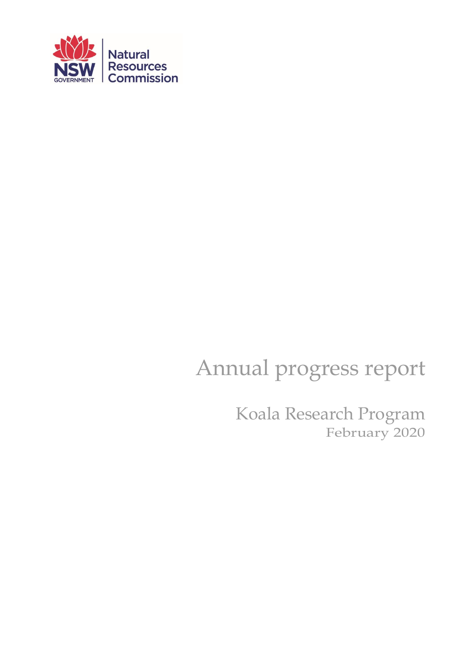

# Annual progress report

Koala Research Program February 2020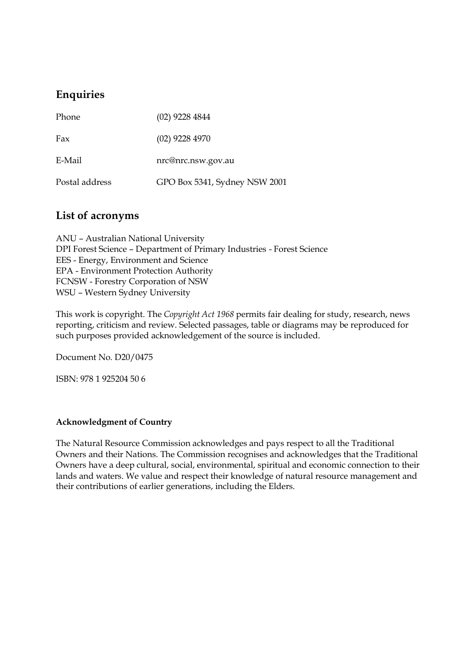# **Enquiries**

| Phone          | $(02)$ 9228 4844              |
|----------------|-------------------------------|
| Fax            | $(02)$ 9228 4970              |
| E-Mail         | nrc@nrc.nsw.gov.au            |
| Postal address | GPO Box 5341, Sydney NSW 2001 |

## **List of acronyms**

ANU – Australian National University DPI Forest Science – Department of Primary Industries - Forest Science EES - Energy, Environment and Science EPA - Environment Protection Authority FCNSW - Forestry Corporation of NSW WSU – Western Sydney University

This work is copyright. The *Copyright Act 1968* permits fair dealing for study, research, news reporting, criticism and review. Selected passages, table or diagrams may be reproduced for such purposes provided acknowledgement of the source is included.

Document No. D20/0475

ISBN: 978 1 925204 50 6

#### **Acknowledgment of Country**

The Natural Resource Commission acknowledges and pays respect to all the Traditional Owners and their Nations. The Commission recognises and acknowledges that the Traditional Owners have a deep cultural, social, environmental, spiritual and economic connection to their lands and waters. We value and respect their knowledge of natural resource management and their contributions of earlier generations, including the Elders.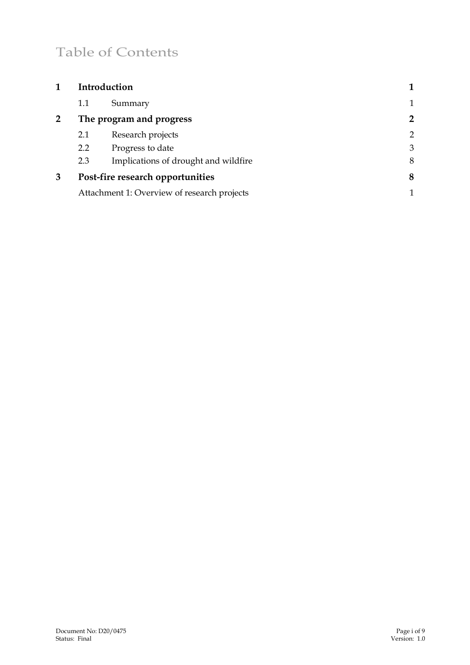# Table of Contents

|   | Introduction             |                                             |                |
|---|--------------------------|---------------------------------------------|----------------|
|   | 1.1                      | Summary                                     | 1              |
| 2 | The program and progress |                                             | $\overline{2}$ |
|   | 2.1                      | Research projects                           | $\overline{2}$ |
|   | 2.2                      | Progress to date                            | 3              |
|   | 2.3                      | Implications of drought and wildfire        | 8              |
| 3 |                          | Post-fire research opportunities            | 8              |
|   |                          | Attachment 1: Overview of research projects | 1              |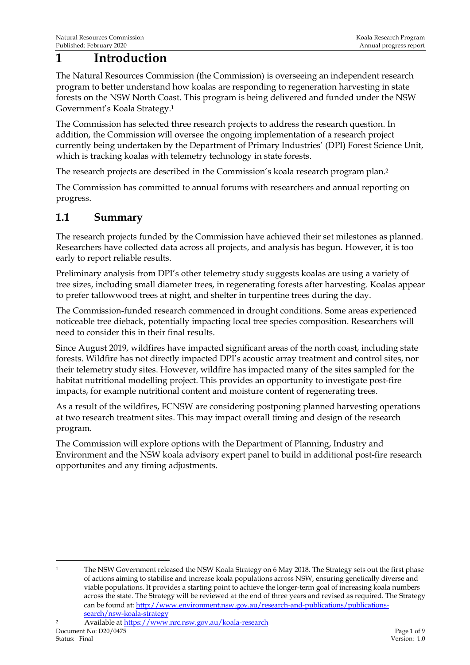# <span id="page-3-0"></span>**1 Introduction**

The Natural Resources Commission (the Commission) is overseeing an independent research program to better understand how koalas are responding to regeneration harvesting in state forests on the NSW North Coast. This program is being delivered and funded under the NSW Government's Koala Strategy. 1

The Commission has selected three research projects to address the research question. In addition, the Commission will oversee the ongoing implementation of a research project currently being undertaken by the Department of Primary Industries' (DPI) Forest Science Unit, which is tracking koalas with telemetry technology in state forests.

The research projects are described in the Commission's koala research program plan. 2

The Commission has committed to annual forums with researchers and annual reporting on progress.

## <span id="page-3-1"></span>**1.1 Summary**

The research projects funded by the Commission have achieved their set milestones as planned. Researchers have collected data across all projects, and analysis has begun. However, it is too early to report reliable results.

Preliminary analysis from DPI's other telemetry study suggests koalas are using a variety of tree sizes, including small diameter trees, in regenerating forests after harvesting. Koalas appear to prefer tallowwood trees at night, and shelter in turpentine trees during the day.

The Commission-funded research commenced in drought conditions. Some areas experienced noticeable tree dieback, potentially impacting local tree species composition. Researchers will need to consider this in their final results.

Since August 2019, wildfires have impacted significant areas of the north coast, including state forests. Wildfire has not directly impacted DPI's acoustic array treatment and control sites, nor their telemetry study sites. However, wildfire has impacted many of the sites sampled for the habitat nutritional modelling project. This provides an opportunity to investigate post-fire impacts, for example nutritional content and moisture content of regenerating trees.

As a result of the wildfires, FCNSW are considering postponing planned harvesting operations at two research treatment sites. This may impact overall timing and design of the research program.

The Commission will explore options with the Department of Planning, Industry and Environment and the NSW koala advisory expert panel to build in additional post-fire research opportunites and any timing adjustments.

<sup>&</sup>lt;sup>1</sup> The NSW Government released the NSW Koala Strategy on 6 May 2018. The Strategy sets out the first phase of actions aiming to stabilise and increase koala populations across NSW, ensuring genetically diverse and viable populations. It provides a starting point to achieve the longer-term goal of increasing koala numbers across the state. The Strategy will be reviewed at the end of three years and revised as required. The Strategy can be found at[: http://www.environment.nsw.gov.au/research-and-publications/publications](http://www.environment.nsw.gov.au/research-and-publications/publications-search/nsw-koala-strategy)[search/nsw-koala-strategy](http://www.environment.nsw.gov.au/research-and-publications/publications-search/nsw-koala-strategy)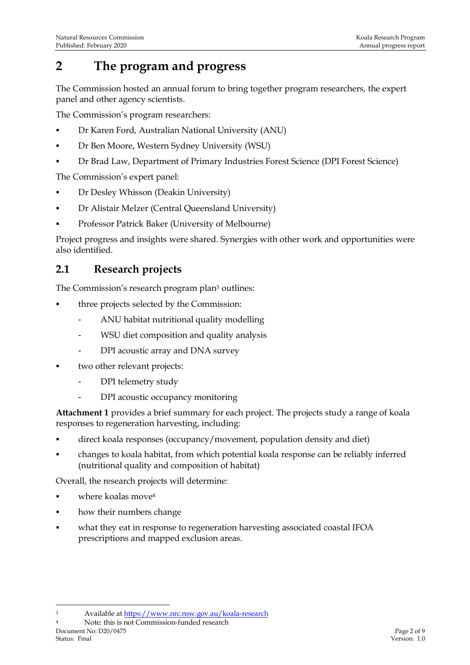# <span id="page-4-0"></span>**2 The program and progress**

The Commission hosted an annual forum to bring together program researchers, the expert panel and other agency scientists.

The Commission's program researchers:

- Dr Karen Ford, Australian National University (ANU)
- Dr Ben Moore, Western Sydney University (WSU)
- Dr Brad Law, Department of Primary Industries Forest Science (DPI Forest Science)

The Commission's expert panel:

- **Dr Desley Whisson (Deakin University)**
- Dr Alistair Melzer (Central Queensland University)
- Professor Patrick Baker (University of Melbourne)

Project progress and insights were shared. Synergies with other work and opportunities were also identified.

## <span id="page-4-1"></span>**2.1 Research projects**

The Commission's research program plan<sup>3</sup> outlines:

- three projects selected by the Commission:
	- ANU habitat nutritional quality modelling
	- WSU diet composition and quality analysis
	- DPI acoustic array and DNA survey
- two other relevant projects:
	- DPI telemetry study
	- DPI acoustic occupancy monitoring

**Attachment 1** provides a brief summary for each project. The projects study a range of koala responses to regeneration harvesting, including:

- direct koala responses (occupancy/movement, population density and diet)
- changes to koala habitat, from which potential koala response can be reliably inferred (nutritional quality and composition of habitat)

Overall, the research projects will determine:

- where koalas move<sup>4</sup>
- how their numbers change
- what they eat in response to regeneration harvesting associated coastal IFOA prescriptions and mapped exclusion areas.

Document No: D20/0475 Page 2 of 9 Status: Final Version: 1.0 <sup>4</sup> Note: this is not Commission-funded research

<sup>3</sup> Available at<https://www.nrc.nsw.gov.au/koala-research>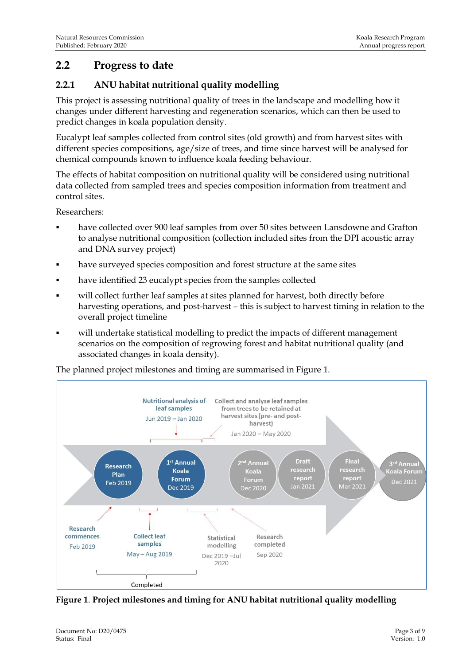## <span id="page-5-0"></span>**2.2 Progress to date**

#### **2.2.1 ANU habitat nutritional quality modelling**

This project is assessing nutritional quality of trees in the landscape and modelling how it changes under different harvesting and regeneration scenarios, which can then be used to predict changes in koala population density.

Eucalypt leaf samples collected from control sites (old growth) and from harvest sites with different species compositions, age/size of trees, and time since harvest will be analysed for chemical compounds known to influence koala feeding behaviour.

The effects of habitat composition on nutritional quality will be considered using nutritional data collected from sampled trees and species composition information from treatment and control sites.

Researchers:

- have collected over 900 leaf samples from over 50 sites between Lansdowne and Grafton to analyse nutritional composition (collection included sites from the DPI acoustic array and DNA survey project)
- **•** have surveyed species composition and forest structure at the same sites
- have identified 23 eucalypt species from the samples collected
- will collect further leaf samples at sites planned for harvest, both directly before harvesting operations, and post-harvest – this is subject to harvest timing in relation to the overall project timeline
- will undertake statistical modelling to predict the impacts of different management scenarios on the composition of regrowing forest and habitat nutritional quality (and associated changes in koala density).

The planned project milestones and timing are summarised in Figure 1.



**Figure 1**. **Project milestones and timing for ANU habitat nutritional quality modelling**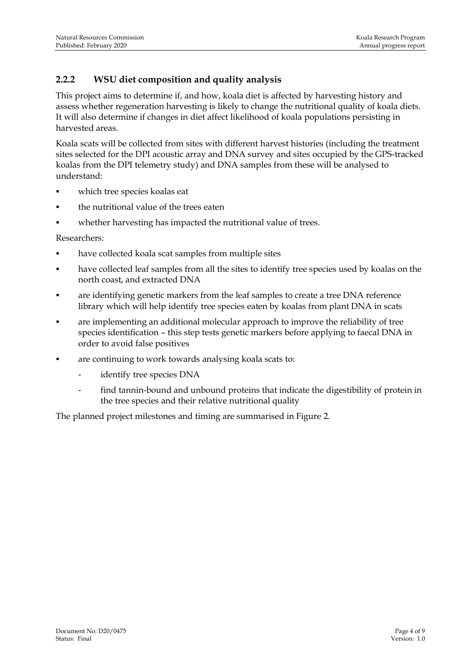## **2.2.2 WSU diet composition and quality analysis**

This project aims to determine if, and how, koala diet is affected by harvesting history and assess whether regeneration harvesting is likely to change the nutritional quality of koala diets. It will also determine if changes in diet affect likelihood of koala populations persisting in harvested areas.

Koala scats will be collected from sites with different harvest histories (including the treatment sites selected for the DPI acoustic array and DNA survey and sites occupied by the GPS-tracked koalas from the DPI telemetry study) and DNA samples from these will be analysed to understand:

- which tree species koalas eat
- the nutritional value of the trees eaten
- whether harvesting has impacted the nutritional value of trees.

Researchers:

- have collected koala scat samples from multiple sites
- have collected leaf samples from all the sites to identify tree species used by koalas on the north coast, and extracted DNA
- are identifying genetic markers from the leaf samples to create a tree DNA reference library which will help identify tree species eaten by koalas from plant DNA in scats
- are implementing an additional molecular approach to improve the reliability of tree species identification – this step tests genetic markers before applying to faecal DNA in order to avoid false positives
- are continuing to work towards analysing koala scats to:
	- identify tree species DNA
	- find tannin-bound and unbound proteins that indicate the digestibility of protein in the tree species and their relative nutritional quality

The planned project milestones and timing are summarised in Figure 2.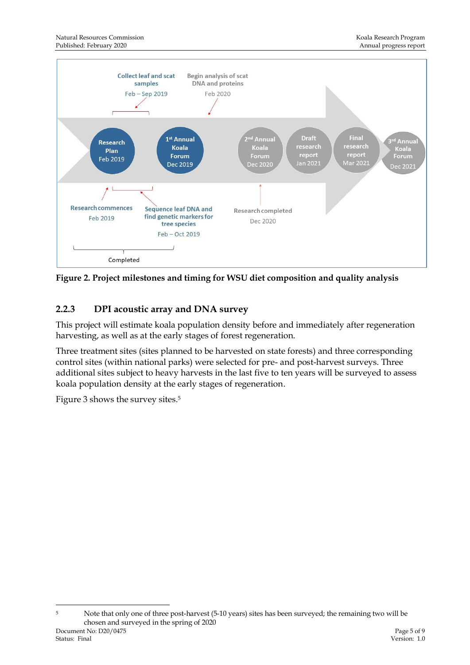

**Figure 2. Project milestones and timing for WSU diet composition and quality analysis**

## **2.2.3 DPI acoustic array and DNA survey**

This project will estimate koala population density before and immediately after regeneration harvesting, as well as at the early stages of forest regeneration.

Three treatment sites (sites planned to be harvested on state forests) and three corresponding control sites (within national parks) were selected for pre- and post-harvest surveys. Three additional sites subject to heavy harvests in the last five to ten years will be surveyed to assess koala population density at the early stages of regeneration.

Figure 3 shows the survey sites.<sup>5</sup>

Document No: D20/0475 Page 5 of 9<br>
Page 5 of 9<br>
Persion: 1.0<br>
Persion: 1.0 Status: Final Version: 1.0 <sup>5</sup> Note that only one of three post-harvest (5-10 years) sites has been surveyed; the remaining two will be chosen and surveyed in the spring of 2020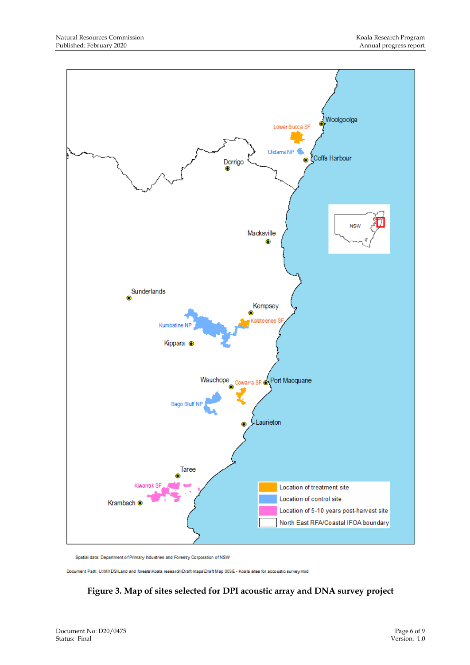

Spatial data: Department of Primary Industries and Forestry Corporation of NSW

Document Path: U/MXDS\Land and forests\Koala research\Draft maps\Draft Map 003E - Koala sites for accoustic survey.mxd

#### **Figure 3. Map of sites selected for DPI acoustic array and DNA survey project**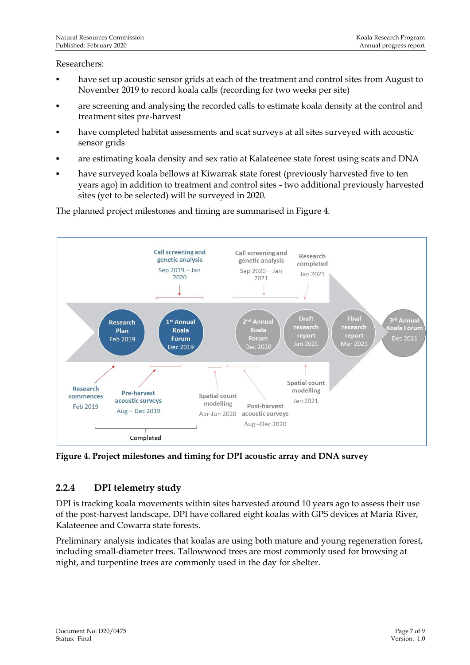#### Researchers:

- have set up acoustic sensor grids at each of the treatment and control sites from August to November 2019 to record koala calls (recording for two weeks per site)
- are screening and analysing the recorded calls to estimate koala density at the control and treatment sites pre-harvest
- have completed habitat assessments and scat surveys at all sites surveyed with acoustic sensor grids
- are estimating koala density and sex ratio at Kalateenee state forest using scats and DNA
- have surveyed koala bellows at Kiwarrak state forest (previously harvested five to ten years ago) in addition to treatment and control sites - two additional previously harvested sites (yet to be selected) will be surveyed in 2020.



The planned project milestones and timing are summarised in Figure 4.

**Figure 4. Project milestones and timing for DPI acoustic array and DNA survey** 

#### **2.2.4 DPI telemetry study**

DPI is tracking koala movements within sites harvested around 10 years ago to assess their use of the post-harvest landscape. DPI have collared eight koalas with GPS devices at Maria River, Kalateenee and Cowarra state forests.

Preliminary analysis indicates that koalas are using both mature and young regeneration forest, including small-diameter trees. Tallowwood trees are most commonly used for browsing at night, and turpentine trees are commonly used in the day for shelter.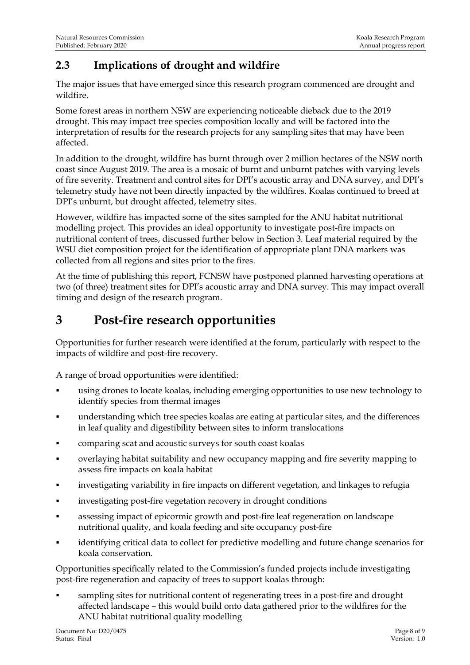# <span id="page-10-0"></span>**2.3 Implications of drought and wildfire**

The major issues that have emerged since this research program commenced are drought and wildfire.

Some forest areas in northern NSW are experiencing noticeable dieback due to the 2019 drought. This may impact tree species composition locally and will be factored into the interpretation of results for the research projects for any sampling sites that may have been affected.

In addition to the drought, wildfire has burnt through over 2 million hectares of the NSW north coast since August 2019. The area is a mosaic of burnt and unburnt patches with varying levels of fire severity. Treatment and control sites for DPI's acoustic array and DNA survey, and DPI's telemetry study have not been directly impacted by the wildfires. Koalas continued to breed at DPI's unburnt, but drought affected, telemetry sites.

However, wildfire has impacted some of the sites sampled for the ANU habitat nutritional modelling project. This provides an ideal opportunity to investigate post-fire impacts on nutritional content of trees, discussed further below in Section 3. Leaf material required by the WSU diet composition project for the identification of appropriate plant DNA markers was collected from all regions and sites prior to the fires.

At the time of publishing this report, FCNSW have postponed planned harvesting operations at two (of three) treatment sites for DPI's acoustic array and DNA survey. This may impact overall timing and design of the research program.

# <span id="page-10-1"></span>**3 Post-fire research opportunities**

Opportunities for further research were identified at the forum, particularly with respect to the impacts of wildfire and post-fire recovery.

A range of broad opportunities were identified:

- using drones to locate koalas, including emerging opportunities to use new technology to identify species from thermal images
- understanding which tree species koalas are eating at particular sites, and the differences in leaf quality and digestibility between sites to inform translocations
- comparing scat and acoustic surveys for south coast koalas
- overlaying habitat suitability and new occupancy mapping and fire severity mapping to assess fire impacts on koala habitat
- **•** investigating variability in fire impacts on different vegetation, and linkages to refugia
- investigating post-fire vegetation recovery in drought conditions
- assessing impact of epicormic growth and post-fire leaf regeneration on landscape nutritional quality, and koala feeding and site occupancy post-fire
- identifying critical data to collect for predictive modelling and future change scenarios for koala conservation.

Opportunities specifically related to the Commission's funded projects include investigating post-fire regeneration and capacity of trees to support koalas through:

sampling sites for nutritional content of regenerating trees in a post-fire and drought affected landscape – this would build onto data gathered prior to the wildfires for the ANU habitat nutritional quality modelling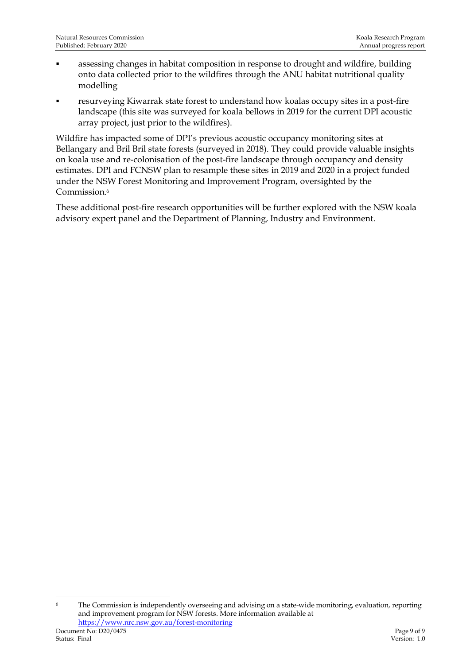- assessing changes in habitat composition in response to drought and wildfire, building onto data collected prior to the wildfires through the ANU habitat nutritional quality modelling
- resurveying Kiwarrak state forest to understand how koalas occupy sites in a post-fire landscape (this site was surveyed for koala bellows in 2019 for the current DPI acoustic array project, just prior to the wildfires).

Wildfire has impacted some of DPI's previous acoustic occupancy monitoring sites at Bellangary and Bril Bril state forests (surveyed in 2018). They could provide valuable insights on koala use and re-colonisation of the post-fire landscape through occupancy and density estimates. DPI and FCNSW plan to resample these sites in 2019 and 2020 in a project funded under the NSW Forest Monitoring and Improvement Program, oversighted by the Commission. 6

These additional post-fire research opportunities will be further explored with the NSW koala advisory expert panel and the Department of Planning, Industry and Environment.

<sup>&</sup>lt;sup>6</sup> The Commission is independently overseeing and advising on a state-wide monitoring, evaluation, reporting and improvement program for NSW forests. More information available at <https://www.nrc.nsw.gov.au/forest-monitoring>